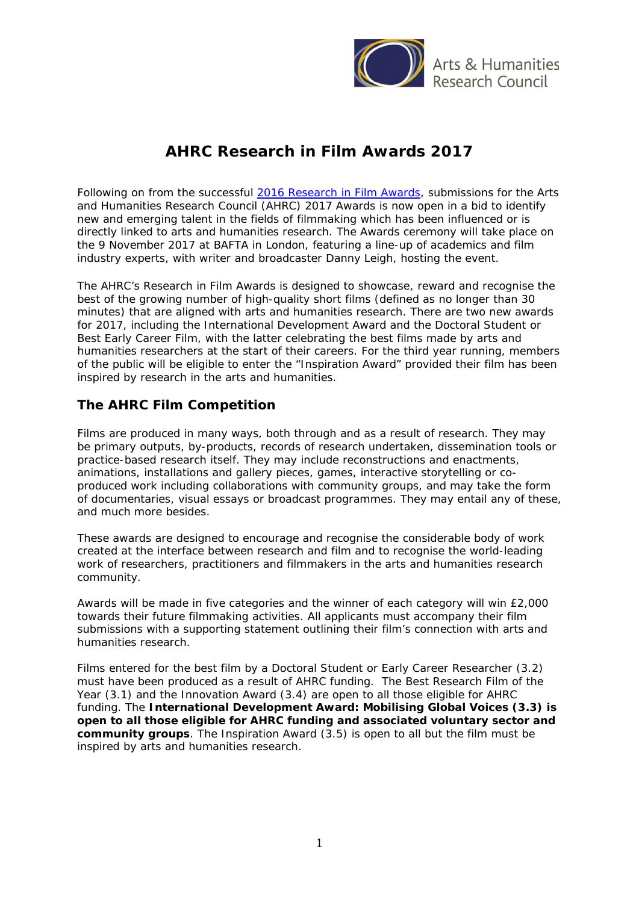

Arts & Humanities esearch Council

# **AHRC Research in Film Awards 2017**

Following on from the successful 2016 [Research in Film Awards,](http://www.ahrc.ac.uk/newsevents/news/winners-of-the-research-in-film-awards-2016/) submissions for the Arts and Humanities Research Council (AHRC) 2017 Awards is now open in a bid to identify new and emerging talent in the fields of filmmaking which has been influenced or is directly linked to arts and humanities research. The Awards ceremony will take place on the 9 November 2017 at BAFTA in London, featuring a line-up of academics and film industry experts, with writer and broadcaster Danny Leigh, hosting the event.

The AHRC's Research in Film Awards is designed to showcase, reward and recognise the best of the growing number of high-quality short films (defined as no longer than 30 minutes) that are aligned with arts and humanities research. There are two new awards for 2017, including the International Development Award and the Doctoral Student or Best Early Career Film, with the latter celebrating the best films made by arts and humanities researchers at the start of their careers. For the third year running, members of the public will be eligible to enter the "Inspiration Award" provided their film has been inspired by research in the arts and humanities.

### **The AHRC Film Competition**

Films are produced in many ways, both through and as a result of research. They may be primary outputs, by-products, records of research undertaken, dissemination tools or practice-based research itself. They may include reconstructions and enactments, animations, installations and gallery pieces, games, interactive storytelling or coproduced work including collaborations with community groups, and may take the form of documentaries, visual essays or broadcast programmes. They may entail any of these, and much more besides.

These awards are designed to encourage and recognise the considerable body of work created at the interface between research and film and to recognise the world-leading work of researchers, practitioners and filmmakers in the arts and humanities research community.

Awards will be made in five categories and the winner of each category will win £2,000 towards their future filmmaking activities. All applicants must accompany their film submissions with a supporting statement outlining their film's connection with arts and humanities research.

Films entered for the best film by a Doctoral Student or Early Career Researcher (3.2) must have been produced as a result of AHRC funding. The Best Research Film of the Year (3.1) and the Innovation Award (3.4) are open to all those eligible for AHRC funding. The **International Development Award: Mobilising Global Voices (3.3) is open to all those eligible for AHRC funding and associated voluntary sector and community groups**. The Inspiration Award (3.5) is open to all but the film must be inspired by arts and humanities research.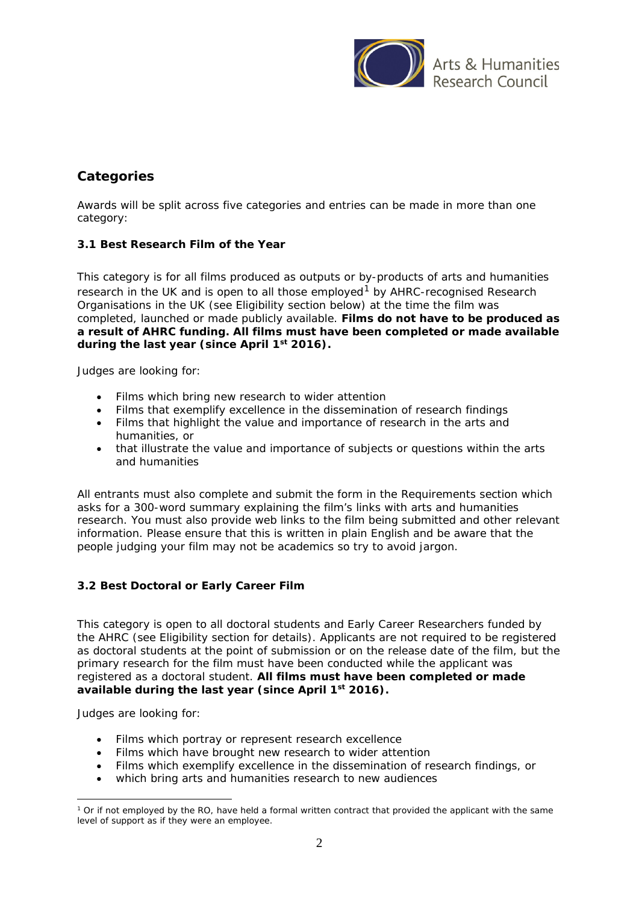

# **Categories**

Awards will be split across five categories and entries can be made in more than one category:

### **3.1 Best Research Film of the Year**

This category is for all films produced as outputs or by-products of arts and humanities research in the UK and is open to all those employed<sup>[1](#page-1-0)</sup> by AHRC-recognised Research Organisations in the UK (see Eligibility section below) at the time the film was completed, launched or made publicly available. **Films do not have to be produced as a result of AHRC funding. All films must have been completed or made available during the last year (since April 1st 2016).**

Judges are looking for:

- Films which bring new research to wider attention
- Films that exemplify excellence in the dissemination of research findings
- Films that highlight the value and importance of research in the arts and humanities, or
- that illustrate the value and importance of subjects or questions within the arts and humanities

All entrants must also complete and submit the form in the Requirements section which asks for a 300-word summary explaining the film's links with arts and humanities research. You must also provide web links to the film being submitted and other relevant information. Please ensure that this is written in plain English and be aware that the people judging your film may not be academics so try to avoid jargon.

#### **3.2 Best Doctoral or Early Career Film**

This category is open to all doctoral students and Early Career Researchers funded by the AHRC (see Eligibility section for details). Applicants are not required to be registered as doctoral students at the point of submission or on the release date of the film, but the primary research for the film must have been conducted while the applicant was registered as a doctoral student. **All films must have been completed or made available during the last year (since April 1st 2016).**

Judges are looking for:

- Films which portray or represent research excellence
- Films which have brought new research to wider attention
- Films which exemplify excellence in the dissemination of research findings, or
- which bring arts and humanities research to new audiences

<span id="page-1-0"></span><sup>&</sup>lt;sup>1</sup> Or if not employed by the RO, have held a formal written contract that provided the applicant with the same level of support as if they were an employee. -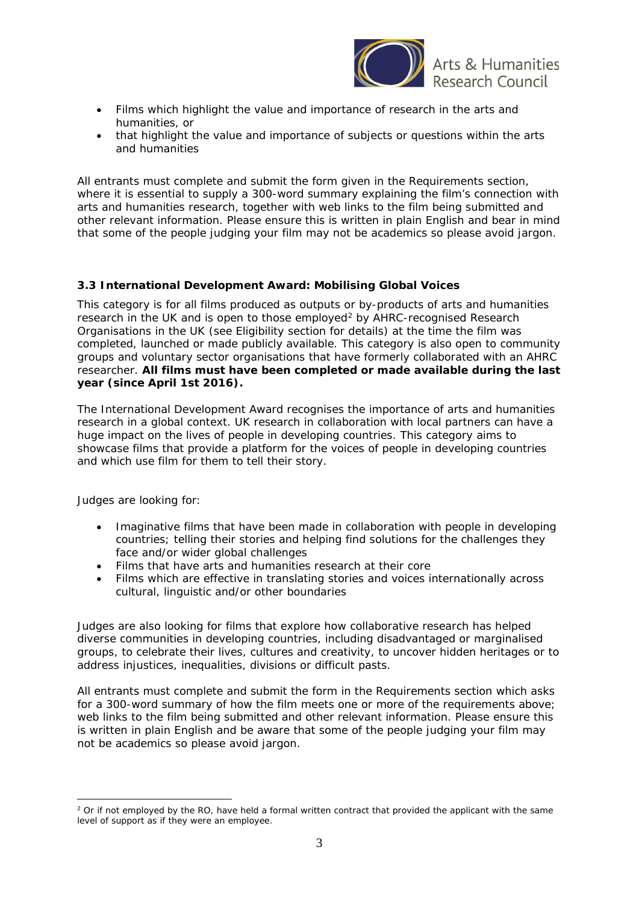

**rts & Humanities** 

- Films which highlight the value and importance of research in the arts and humanities, or
- that highlight the value and importance of subjects or questions within the arts and humanities

All entrants must complete and submit the form given in the Requirements section, where it is essential to supply a 300-word summary explaining the film's connection with arts and humanities research, together with web links to the film being submitted and other relevant information. Please ensure this is written in plain English and bear in mind that some of the people judging your film may not be academics so please avoid jargon.

#### **3.3 International Development Award: Mobilising Global Voices**

This category is for all films produced as outputs or by-products of arts and humanities research in the UK and is open to those employed<sup>[2](#page-2-0)</sup> by AHRC-recognised Research Organisations in the UK (see Eligibility section for details) at the time the film was completed, launched or made publicly available. This category is also open to community groups and voluntary sector organisations that have formerly collaborated with an AHRC researcher. **All films must have been completed or made available during the last year (since April 1st 2016).**

The International Development Award recognises the importance of arts and humanities research in a global context. UK research in collaboration with local partners can have a huge impact on the lives of people in developing countries. This category aims to showcase films that provide a platform for the voices of people in developing countries and which use film for them to tell their story.

Judges are looking for:

-

- Imaginative films that have been made in collaboration with people in developing countries; telling their stories and helping find solutions for the challenges they face and/or wider global challenges
- Films that have arts and humanities research at their core
- Films which are effective in translating stories and voices internationally across cultural, linguistic and/or other boundaries

Judges are also looking for films that explore how collaborative research has helped diverse communities in developing countries, including disadvantaged or marginalised groups, to celebrate their lives, cultures and creativity, to uncover hidden heritages or to address injustices, inequalities, divisions or difficult pasts.

All entrants must complete and submit the form in the Requirements section which asks for a 300-word summary of how the film meets one or more of the requirements above; web links to the film being submitted and other relevant information. Please ensure this is written in plain English and be aware that some of the people judging your film may not be academics so please avoid jargon.

<span id="page-2-0"></span><sup>&</sup>lt;sup>2</sup> Or if not employed by the RO, have held a formal written contract that provided the applicant with the same level of support as if they were an employee.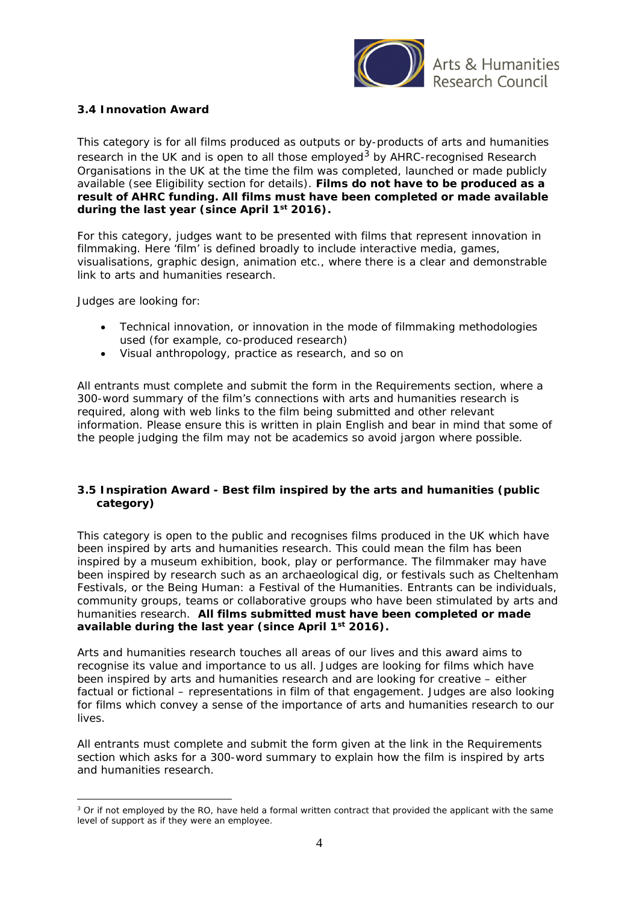

#### **3.4 Innovation Award**

This category is for all films produced as outputs or by-products of arts and humanities research in the UK and is open to all those employed<sup>[3](#page-3-0)</sup> by AHRC-recognised Research Organisations in the UK at the time the film was completed, launched or made publicly available (see Eligibility section for details). **Films do not have to be produced as a result of AHRC funding. All films must have been completed or made available during the last year (since April 1st 2016).**

For this category, judges want to be presented with films that represent innovation in filmmaking. Here 'film' is defined broadly to include interactive media, games, visualisations, graphic design, animation etc., where there is a clear and demonstrable link to arts and humanities research.

Judges are looking for:

-

- Technical innovation, or innovation in the mode of filmmaking methodologies used (for example, co-produced research)
- Visual anthropology, practice as research, and so on

All entrants must complete and submit the form in the Requirements section, where a 300-word summary of the film's connections with arts and humanities research is required, along with web links to the film being submitted and other relevant information. Please ensure this is written in plain English and bear in mind that some of the people judging the film may not be academics so avoid jargon where possible.

#### **3.5 Inspiration Award - Best film inspired by the arts and humanities (public category)**

This category is open to the public and recognises films produced in the UK which have been inspired by arts and humanities research. This could mean the film has been inspired by a museum exhibition, book, play or performance. The filmmaker may have been inspired by research such as an archaeological dig, or festivals such as Cheltenham Festivals, or the Being Human: a Festival of the Humanities. Entrants can be individuals, community groups, teams or collaborative groups who have been stimulated by arts and humanities research. **All films submitted must have been completed or made available during the last year (since April 1st 2016).**

Arts and humanities research touches all areas of our lives and this award aims to recognise its value and importance to us all. Judges are looking for films which have been inspired by arts and humanities research and are looking for creative – either factual or fictional – representations in film of that engagement. Judges are also looking for films which convey a sense of the importance of arts and humanities research to our lives.

All entrants must complete and submit the form given at the link in the Requirements section which asks for a 300-word summary to explain how the film is inspired by arts and humanities research.

<span id="page-3-0"></span><sup>&</sup>lt;sup>3</sup> Or if not employed by the RO, have held a formal written contract that provided the applicant with the same level of support as if they were an employee.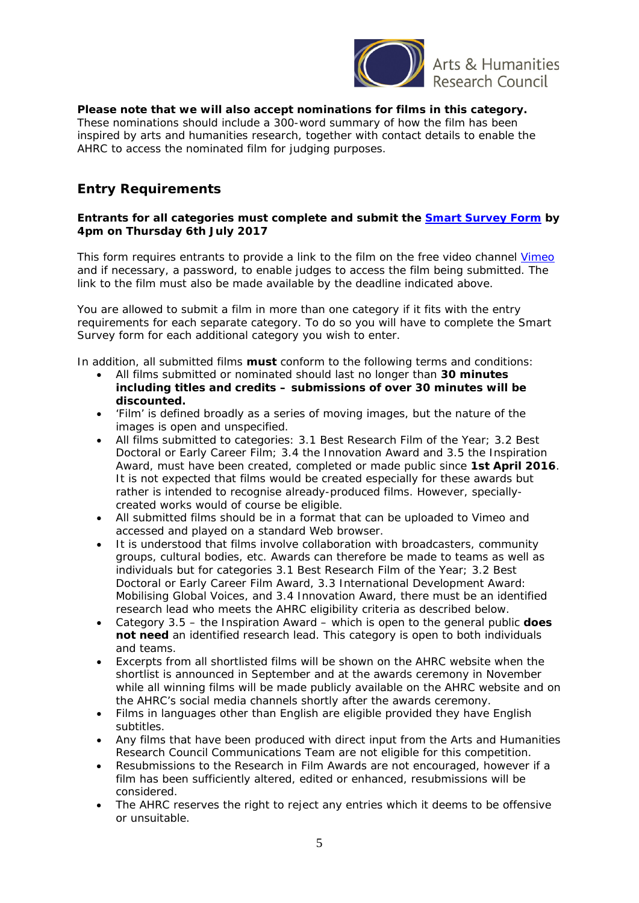

Arts & Humanities Research Council

**Please note that we will also accept nominations for films in this category.** These nominations should include a 300-word summary of how the film has been inspired by arts and humanities research, together with contact details to enable the AHRC to access the nominated film for judging purposes.

# **Entry Requirements**

#### **Entrants for all categories must complete and submit the [Smart Survey Form](http://www.smartsurvey.co.uk/s/ResearchInFilmAwards2017/) by 4pm on Thursday 6th July 2017**

This form requires entrants to provide a link to the film on the free video channel [Vimeo](http://www.vimeo.com/) and if necessary, a password, to enable judges to access the film being submitted. The link to the film must also be made available by the deadline indicated above.

You are allowed to submit a film in more than one category if it fits with the entry requirements for each separate category. To do so you will have to complete the Smart Survey form for each additional category you wish to enter.

In addition, all submitted films **must** conform to the following terms and conditions:

- All films submitted or nominated should last no longer than **30 minutes including titles and credits – submissions of over 30 minutes will be discounted.**
- 'Film' is defined broadly as a series of moving images, but the nature of the images is open and unspecified.
- All films submitted to categories: 3.1 Best Research Film of the Year; 3.2 Best Doctoral or Early Career Film; 3.4 the Innovation Award and 3.5 the Inspiration Award, must have been created, completed or made public since **1st April 2016**. It is not expected that films would be created especially for these awards but rather is intended to recognise already-produced films. However, speciallycreated works would of course be eligible.
- All submitted films should be in a format that can be uploaded to Vimeo and accessed and played on a standard Web browser.
- It is understood that films involve collaboration with broadcasters, community groups, cultural bodies, etc. Awards can therefore be made to teams as well as individuals but for categories 3.1 Best Research Film of the Year; 3.2 Best Doctoral or Early Career Film Award, 3.3 International Development Award: Mobilising Global Voices, and 3.4 Innovation Award, there must be an identified research lead who meets the AHRC eligibility criteria as described below.
- Category 3.5 the Inspiration Award which is open to the general public **does not need** an identified research lead. This category is open to both individuals and teams.
- Excerpts from all shortlisted films will be shown on the AHRC website when the shortlist is announced in September and at the awards ceremony in November while all winning films will be made publicly available on the AHRC website and on the AHRC's social media channels shortly after the awards ceremony.
- Films in languages other than English are eligible provided they have English subtitles.
- Any films that have been produced with direct input from the Arts and Humanities Research Council Communications Team are not eligible for this competition.
- Resubmissions to the Research in Film Awards are not encouraged, however if a film has been sufficiently altered, edited or enhanced, resubmissions will be considered.
- The AHRC reserves the right to reject any entries which it deems to be offensive or unsuitable.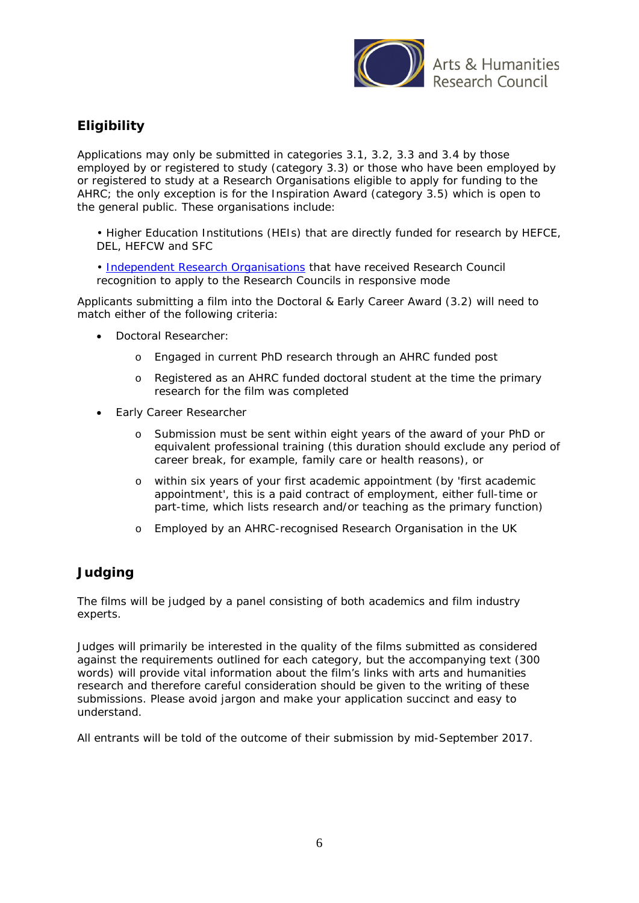

# **Eligibility**

Applications may only be submitted in categories 3.1, 3.2, 3.3 and 3.4 by those employed by or registered to study (category 3.3) or those who have been employed by or registered to study at a Research Organisations eligible to apply for funding to the AHRC; the only exception is for the Inspiration Award (category 3.5) which is open to the general public. These organisations include:

- Higher Education Institutions (HEIs) that are directly funded for research by HEFCE, DEL, HEFCW and SFC
- • [Independent Research Organisations](http://www.ahrc.ac.uk/funding/research/iro/) that have received Research Council recognition to apply to the Research Councils in responsive mode

Applicants submitting a film into the Doctoral & Early Career Award (3.2) will need to match either of the following criteria:

- Doctoral Researcher:
	- o Engaged in current PhD research through an AHRC funded post
	- o Registered as an AHRC funded doctoral student at the time the primary research for the film was completed
- **Early Career Researcher** 
	- o Submission must be sent within eight years of the award of your PhD or equivalent professional training (this duration should exclude any period of career break, for example, family care or health reasons), or
	- o within six years of your first academic appointment (by 'first academic appointment', this is a paid contract of employment, either full-time or part-time, which lists research and/or teaching as the primary function)
	- o Employed by an AHRC-recognised Research Organisation in the UK

## **Judging**

The films will be judged by a panel consisting of both academics and film industry experts.

Judges will primarily be interested in the quality of the films submitted as considered against the requirements outlined for each category, but the accompanying text (300 words) will provide vital information about the film's links with arts and humanities research and therefore careful consideration should be given to the writing of these submissions. Please avoid jargon and make your application succinct and easy to understand.

All entrants will be told of the outcome of their submission by mid-September 2017.